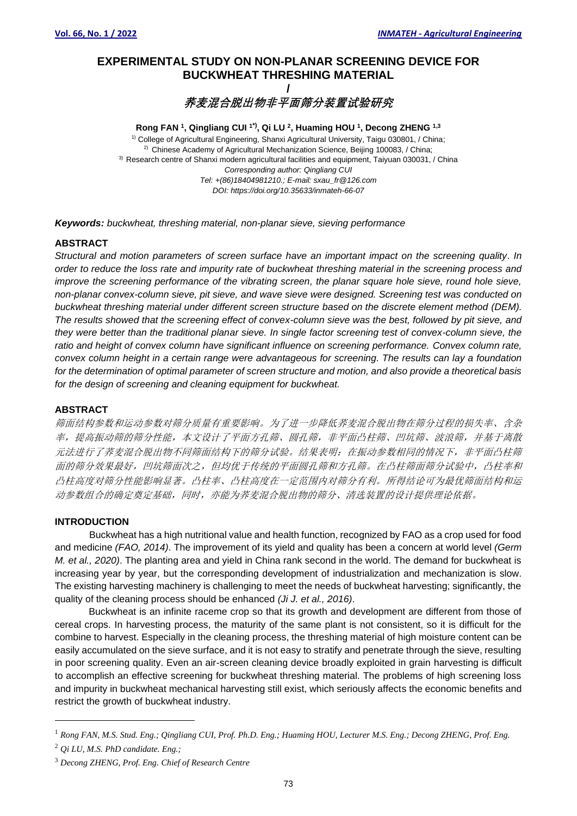# **EXPERIMENTAL STUDY ON NON-PLANAR SCREENING DEVICE FOR BUCKWHEAT THRESHING MATERIAL /**

**荞麦混合脱出物非平面筛分装置试验研究**

**Rong FAN <sup>1</sup> , Qingliang CUI <sup>1</sup>\*) , Qi LU <sup>2</sup> , Huaming HOU <sup>1</sup> , Decong ZHENG 1,3**

<sup>1)</sup> College of Agricultural Engineering, Shanxi Agricultural University, Taigu 030801, / China;  $2)$  Chinese Academy of Agricultural Mechanization Science, Beijing 100083, / China; 3) Research centre of Shanxi modern agricultural facilities and equipment, Taiyuan 030031, / China *Corresponding author: Qingliang CUI Tel: +(86)18404981210.; E-mail: sxau\_fr@126.com DOI: https://doi.org/10.35633/inmateh-66-07*

*Keywords: buckwheat, threshing material, non-planar sieve, sieving performance*

# **ABSTRACT**

*Structural and motion parameters of screen surface have an important impact on the screening quality*. *In order to reduce the loss rate and impurity rate of buckwheat threshing material in the screening process and improve the screening performance of the vibrating screen, the planar square hole sieve, round hole sieve, non-planar convex-column sieve, pit sieve, and wave sieve were designed. Screening test was conducted on buckwheat threshing material under different screen structure based on the discrete element method (DEM). The results showed that the screening effect of convex-column sieve was the best, followed by pit sieve, and they were better than the traditional planar sieve. In single factor screening test of convex-column sieve, the ratio and height of convex column have significant influence on screening performance. Convex column rate, convex column height in a certain range were advantageous for screening. The results can lay a foundation for the determination of optimal parameter of screen structure and motion, and also provide a theoretical basis for the design of screening and cleaning equipment for buckwheat.*

# **ABSTRACT**

筛面结构参数和运动参数对筛分质量有重要影响。为了进一步降低荞麦混合脱出物在筛分过程的损失率、含杂 率,提高振动筛的筛分性能,本文设计了平面方孔筛、圆孔筛,非平面凸柱筛、凹坑筛、波浪筛,并基于离散 元法进行了荞麦混合脱出物不同筛面结构下的筛分试验。结果表明:在振动参数相同的情况下,非平面凸柱筛 面的筛分效果最好,凹坑筛面次之,但均优于传统的平面圆孔筛和方孔筛。在凸柱筛面筛分试验中,凸柱率和 凸柱高度对筛分性能影响显著。凸柱率、凸柱高度在一定范围内对筛分有利。所得结论可为最优筛面结构和运 动参数组合的确定奠定基础,同时,亦能为荞麦混合脱出物的筛分、清选装置的设计提供理论依据。

### **INTRODUCTION**

Buckwheat has a high nutritional value and health function, recognized by FAO as a crop used for food and medicine *(FAO, 2014)*. The improvement of its yield and quality has been a concern at world level *(Germ M. et al., 2020)*. The planting area and yield in China rank second in the world. The demand for buckwheat is increasing year by year, but the corresponding development of industrialization and mechanization is slow. The existing harvesting machinery is challenging to meet the needs of buckwheat harvesting; significantly, the quality of the cleaning process should be enhanced *(Ji J. et al., 2016)*.

Buckwheat is an infinite raceme crop so that its growth and development are different from those of cereal crops. In harvesting process, the maturity of the same plant is not consistent, so it is difficult for the combine to harvest. Especially in the cleaning process, the threshing material of high moisture content can be easily accumulated on the sieve surface, and it is not easy to stratify and penetrate through the sieve, resulting in poor screening quality. Even an air-screen cleaning device broadly exploited in grain harvesting is difficult to accomplish an effective screening for buckwheat threshing material. The problems of high screening loss and impurity in buckwheat mechanical harvesting still exist, which seriously affects the economic benefits and restrict the growth of buckwheat industry.

<sup>1</sup> *Rong FAN, M.S. Stud. Eng.; Qingliang CUI, Prof. Ph.D. Eng.; Huaming HOU, Lecturer M.S. Eng.; Decong ZHENG, Prof. Eng.*

<sup>2</sup> *Qi LU, M.S. PhD candidate. Eng.;* 

<sup>3</sup> *Decong ZHENG, Prof. Eng. Chief of Research Centre*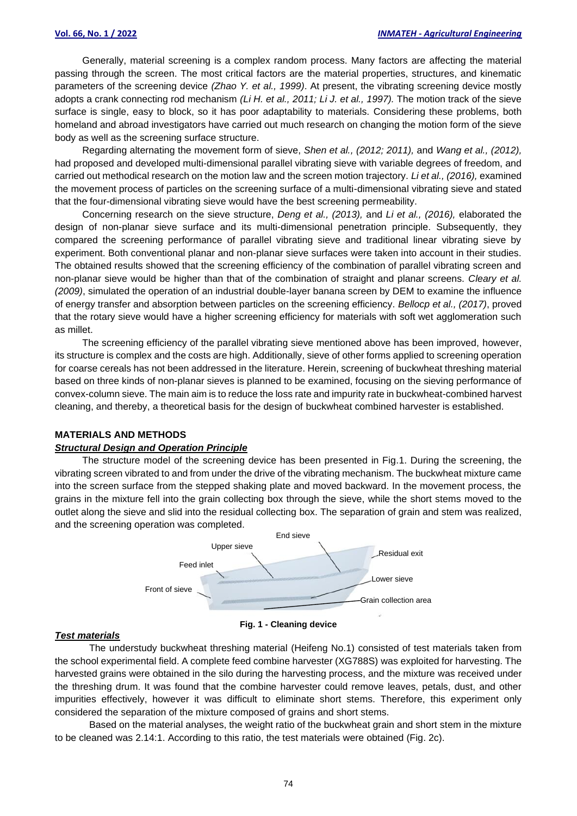Generally, material screening is a complex random process. Many factors are affecting the material passing through the screen. The most critical factors are the material properties, structures, and kinematic parameters of the screening device *(Zhao Y. et al., 1999)*. At present, the vibrating screening device mostly adopts a crank connecting rod mechanism *(Li H. et al., 2011; Li J. et al., 1997).* The motion track of the sieve surface is single, easy to block, so it has poor adaptability to materials. Considering these problems, both homeland and abroad investigators have carried out much research on changing the motion form of the sieve body as well as the screening surface structure.

Regarding alternating the movement form of sieve, *Shen et al., (2012; 2011),* and *Wang et al., (2012),* had proposed and developed multi-dimensional parallel vibrating sieve with variable degrees of freedom, and carried out methodical research on the motion law and the screen motion trajectory. *Li et al., (2016),* examined the movement process of particles on the screening surface of a multi-dimensional vibrating sieve and stated that the four-dimensional vibrating sieve would have the best screening permeability.

Concerning research on the sieve structure, *Deng et al., (2013),* and *Li et al., (2016),* elaborated the design of non-planar sieve surface and its multi-dimensional penetration principle. Subsequently, they compared the screening performance of parallel vibrating sieve and traditional linear vibrating sieve by experiment. Both conventional planar and non-planar sieve surfaces were taken into account in their studies. The obtained results showed that the screening efficiency of the combination of parallel vibrating screen and non-planar sieve would be higher than that of the combination of straight and planar screens. *Cleary et al. (2009)*, simulated the operation of an industrial double-layer banana screen by DEM to examine the influence of energy transfer and absorption between particles on the screening efficiency. *Bellocp et al., (2017)*, proved that the rotary sieve would have a higher screening efficiency for materials with soft wet agglomeration such as millet.

The screening efficiency of the parallel vibrating sieve mentioned above has been improved, however, its structure is complex and the costs are high. Additionally, sieve of other forms applied to screening operation for coarse cereals has not been addressed in the literature. Herein, screening of buckwheat threshing material based on three kinds of non-planar sieves is planned to be examined, focusing on the sieving performance of convex-column sieve. The main aim is to reduce the loss rate and impurity rate in buckwheat-combined harvest cleaning, and thereby, a theoretical basis for the design of buckwheat combined harvester is established.

### **MATERIALS AND METHODS**

### *Structural Design and Operation Principle*

The structure model of the screening device has been presented in Fig.1. During the screening, the vibrating screen vibrated to and from under the drive of the vibrating mechanism. The buckwheat mixture came into the screen surface from the stepped shaking plate and moved backward. In the movement process, the grains in the mixture fell into the grain collecting box through the sieve, while the short stems moved to the outlet along the sieve and slid into the residual collecting box. The separation of grain and stem was realized, and the screening operation was completed.



#### *Test materials*

**Fig. 1 - Cleaning device**

The understudy buckwheat threshing material (Heifeng No.1) consisted of test materials taken from the school experimental field. A complete feed combine harvester (XG788S) was exploited for harvesting. The harvested grains were obtained in the silo during the harvesting process, and the mixture was received under the threshing drum. It was found that the combine harvester could remove leaves, petals, dust, and other impurities effectively, however it was difficult to eliminate short stems. Therefore, this experiment only considered the separation of the mixture composed of grains and short stems.

Based on the material analyses, the weight ratio of the buckwheat grain and short stem in the mixture to be cleaned was 2.14:1. According to this ratio, the test materials were obtained (Fig. 2c).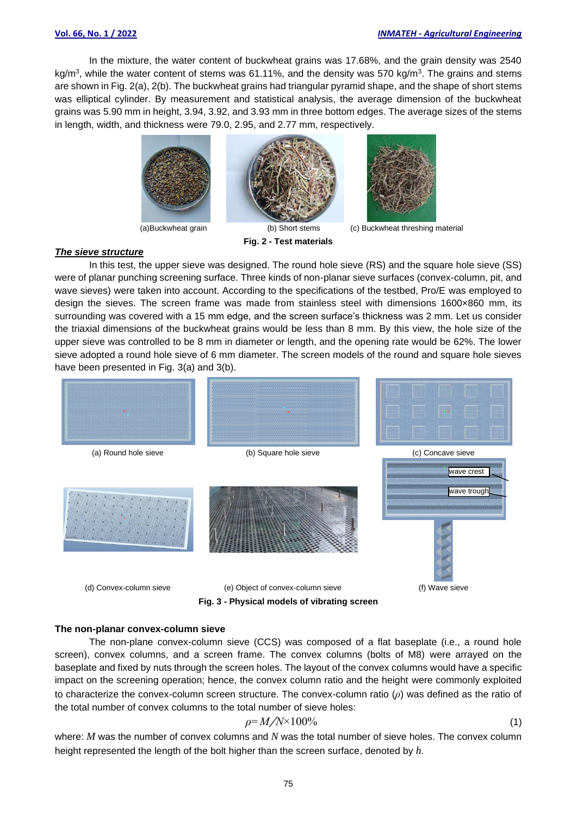In the mixture, the water content of buckwheat grains was 17.68%, and the grain density was 2540 kg/m<sup>3</sup>, while the water content of stems was 61.11%, and the density was 570 kg/m<sup>3</sup>. The grains and stems are shown in Fig. 2(a), 2(b). The buckwheat grains had triangular pyramid shape, and the shape of short stems was elliptical cylinder. By measurement and statistical analysis, the average dimension of the buckwheat grains was 5.90 mm in height, 3.94, 3.92, and 3.93 mm in three bottom edges. The average sizes of the stems in length, width, and thickness were 79.0, 2.95, and 2.77 mm, respectively.



**Fig. 2 - Test materials**

### *The sieve structure*

In this test, the upper sieve was designed. The round hole sieve (RS) and the square hole sieve (SS) were of planar punching screening surface. Three kinds of non-planar sieve surfaces (convex-column, pit, and wave sieves) were taken into account. According to the specifications of the testbed, Pro/E was employed to design the sieves. The screen frame was made from stainless steel with dimensions 1600×860 mm, its surrounding was covered with a 15 mm edge, and the screen surface's thickness was 2 mm. Let us consider the triaxial dimensions of the buckwheat grains would be less than 8 mm. By this view, the hole size of the upper sieve was controlled to be 8 mm in diameter or length, and the opening rate would be 62%. The lower sieve adopted a round hole sieve of 6 mm diameter. The screen models of the round and square hole sieves have been presented in Fig. 3(a) and 3(b).



**Fig. 3 - Physical models of vibrating screen**

## **The non-planar convex-column sieve**

The non-plane convex-column sieve (CCS) was composed of a flat baseplate (i.e., a round hole screen), convex columns, and a screen frame. The convex columns (bolts of M8) were arrayed on the baseplate and fixed by nuts through the screen holes. The layout of the convex columns would have a specific impact on the screening operation; hence, the convex column ratio and the height were commonly exploited to characterize the convex-column screen structure. The convex-column ratio (*ρ*) was defined as the ratio of the total number of convex columns to the total number of sieve holes:

$$
\rho = M/N \times 100\% \tag{1}
$$

where: *M* was the number of convex columns and *N* was the total number of sieve holes. The convex column height represented the length of the bolt higher than the screen surface, denoted by *h*.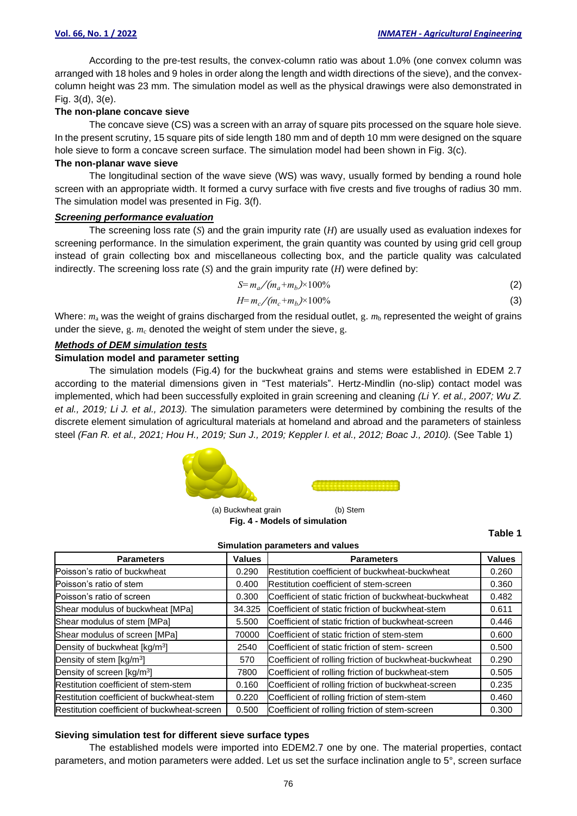According to the pre-test results, the convex-column ratio was about 1.0% (one convex column was arranged with 18 holes and 9 holes in order along the length and width directions of the sieve), and the convexcolumn height was 23 mm. The simulation model as well as the physical drawings were also demonstrated in Fig. 3(d), 3(e).

# **The non-plane concave sieve**

The concave sieve (CS) was a screen with an array of square pits processed on the square hole sieve. In the present scrutiny, 15 square pits of side length 180 mm and of depth 10 mm were designed on the square hole sieve to form a concave screen surface. The simulation model had been shown in Fig. 3(c).

# **The non-planar wave sieve**

The longitudinal section of the wave sieve (WS) was wavy, usually formed by bending a round hole screen with an appropriate width. It formed a curvy surface with five crests and five troughs of radius 30 mm. The simulation model was presented in Fig. 3(f).

# *Screening performance evaluation*

The screening loss rate (*S*) and the grain impurity rate (*H*) are usually used as evaluation indexes for screening performance. In the simulation experiment, the grain quantity was counted by using grid cell group instead of grain collecting box and miscellaneous collecting box, and the particle quality was calculated indirectly. The screening loss rate (*S*) and the grain impurity rate (*H*) were defined by:

$$
S = m_a / (m_a + m_b) \times 100\% \tag{2}
$$

$$
H = m_c / (m_c + m_b) \times 100\% \tag{3}
$$

Where:  $m_a$  was the weight of grains discharged from the residual outlet,  $g$ .  $m_b$  represented the weight of grains under the sieve,  $g. m_c$  denoted the weight of stem under the sieve,  $g.$ 

# *Methods of DEM simulation tests*

# **Simulation model and parameter setting**

The simulation models (Fig.4) for the buckwheat grains and stems were established in EDEM 2.7 according to the material dimensions given in "Test materials". Hertz-Mindlin (no-slip) contact model was implemented, which had been successfully exploited in grain screening and cleaning *(Li Y. et al., 2007; Wu Z. et al., 2019; Li J. et al., 2013).* The simulation parameters were determined by combining the results of the discrete element simulation of agricultural materials at homeland and abroad and the parameters of stainless steel *(Fan R. et al., 2021; Hou H., 2019; Sun J., 2019; Keppler I. et al., 2012; Boac J., 2010).* (See Table 1)





(a) Buckwheat grain (b) Stem **Fig. 4 - Models of simulation**

**Table 1**

| Simulation parameters and values            |               |                                                                 |               |  |  |  |
|---------------------------------------------|---------------|-----------------------------------------------------------------|---------------|--|--|--|
| <b>Parameters</b>                           | <b>Values</b> | <b>Parameters</b>                                               | <b>Values</b> |  |  |  |
| Poisson's ratio of buckwheat                | 0.290         | <b>Restitution coefficient of buckwheat-buckwheat</b>           | 0.260         |  |  |  |
| Poisson's ratio of stem                     | 0.400         | Restitution coefficient of stem-screen<br>0.360                 |               |  |  |  |
| Poisson's ratio of screen                   | 0.300         | Coefficient of static friction of buckwheat-buckwheat           |               |  |  |  |
| Shear modulus of buckwheat [MPa]            | 34.325        | Coefficient of static friction of buckwheat-stem                |               |  |  |  |
| Shear modulus of stem [MPa]                 | 5.500         | Coefficient of static friction of buckwheat-screen              |               |  |  |  |
| Shear modulus of screen [MPa]               | 70000         | Coefficient of static friction of stem-stem<br>0.600            |               |  |  |  |
| Density of buckwheat [kg/m <sup>3</sup> ]   | 2540          | Coefficient of static friction of stem-screen<br>0.500          |               |  |  |  |
| Density of stem [kg/m <sup>3</sup> ]        | 570           | Coefficient of rolling friction of buckwheat-buckwheat<br>0.290 |               |  |  |  |
| Density of screen [kg/m <sup>3</sup> ]      | 7800          | Coefficient of rolling friction of buckwheat-stem               |               |  |  |  |
| Restitution coefficient of stem-stem        | 0.160         | Coefficient of rolling friction of buckwheat-screen<br>0.235    |               |  |  |  |
| Restitution coefficient of buckwheat-stem   | 0.220         | Coefficient of rolling friction of stem-stem<br>0.460           |               |  |  |  |
| Restitution coefficient of buckwheat-screen | 0.500         | Coefficient of rolling friction of stem-screen<br>0.300         |               |  |  |  |

#### **Sieving simulation test for different sieve surface types**

The established models were imported into EDEM2.7 one by one. The material properties, contact parameters, and motion parameters were added. Let us set the surface inclination angle to 5°, screen surface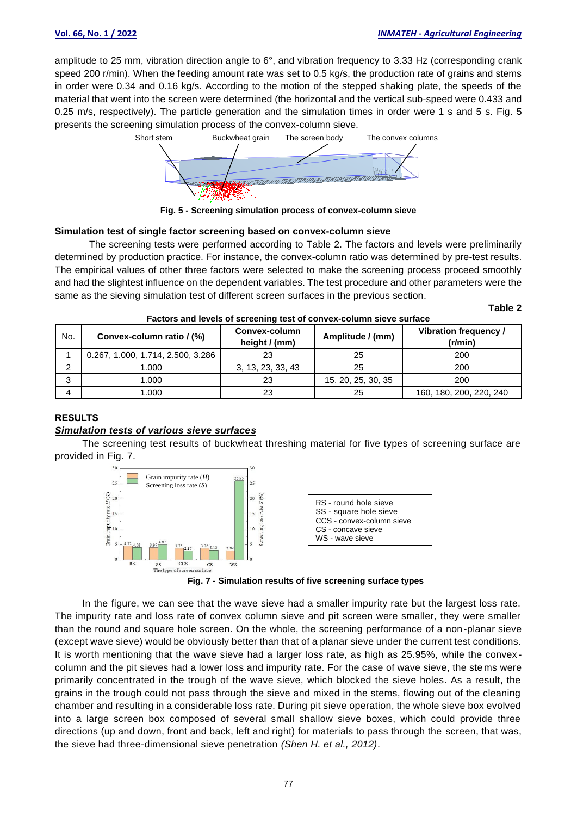amplitude to 25 mm, vibration direction angle to 6°, and vibration frequency to 3.33 Hz (corresponding crank speed 200 r/min). When the feeding amount rate was set to 0.5 kg/s, the production rate of grains and stems in order were 0.34 and 0.16 kg/s. According to the motion of the stepped shaking plate, the speeds of the material that went into the screen were determined (the horizontal and the vertical sub-speed were 0.433 and 0.25 m/s, respectively). The particle generation and the simulation times in order were 1 s and 5 s. Fig. 5 presents the screening simulation process of the convex-column sieve.



**Fig. 5 - Screening simulation process of convex-column sieve**

## **Simulation test of single factor screening based on convex-column sieve**

The screening tests were performed according to Table 2. The factors and levels were preliminarily determined by production practice. For instance, the convex-column ratio was determined by pre-test results. The empirical values of other three factors were selected to make the screening process proceed smoothly and had the slightest influence on the dependent variables. The test procedure and other parameters were the same as the sieving simulation test of different screen surfaces in the previous section.

**Table 2**

| No. | Convex-column ratio / (%)         | Convex-column<br>height / (mm) | Amplitude / (mm)   | Vibration frequency /<br>(r/min) |
|-----|-----------------------------------|--------------------------------|--------------------|----------------------------------|
|     | 0.267, 1.000, 1.714, 2.500, 3.286 | 23                             | 25                 | 200                              |
| ົ   | 1.000                             | 3, 13, 23, 33, 43              | 25                 | 200                              |
| 2   | 1.000                             | 23                             | 15, 20, 25, 30, 35 | 200                              |
|     | 1.000                             | 23                             | 25                 | 160, 180, 200, 220, 240          |

# **RESULTS**

# *Simulation tests of various sieve surfaces*

The screening test results of buckwheat threshing material for five types of screening surface are provided in Fig. 7.



**Fig. 7 - Simulation results of five screening surface types**

In the figure, we can see that the wave sieve had a smaller impurity rate but the largest loss rate. The impurity rate and loss rate of convex column sieve and pit screen were smaller, they were smaller than the round and square hole screen. On the whole, the screening performance of a non-planar sieve (except wave sieve) would be obviously better than that of a planar sieve under the current test conditions. It is worth mentioning that the wave sieve had a larger loss rate, as high as 25.95%, while the convex column and the pit sieves had a lower loss and impurity rate. For the case of wave sieve, the ste ms were primarily concentrated in the trough of the wave sieve, which blocked the sieve holes. As a result, the grains in the trough could not pass through the sieve and mixed in the stems, flowing out of the cleaning chamber and resulting in a considerable loss rate. During pit sieve operation, the whole sieve box evolved into a large screen box composed of several small shallow sieve boxes, which could provide three directions (up and down, front and back, left and right) for materials to pass through the screen, that was, the sieve had three-dimensional sieve penetration *(Shen H. et al., 2012)*.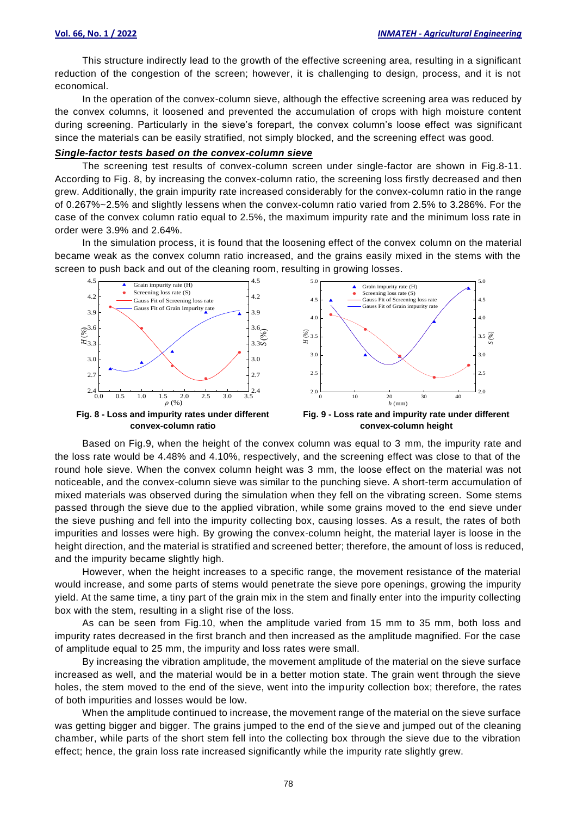This structure indirectly lead to the growth of the effective screening area, resulting in a significant reduction of the congestion of the screen; however, it is challenging to design, process, and it is not economical.

In the operation of the convex-column sieve, although the effective screening area was reduced by the convex columns, it loosened and prevented the accumulation of crops with high moisture content during screening. Particularly in the sieve's forepart, the convex column's loose effect was significant since the materials can be easily stratified, not simply blocked, and the screening effect was good.

### *Single-factor tests based on the convex-column sieve*

The screening test results of convex-column screen under single-factor are shown in Fig.8-11. According to Fig. 8, by increasing the convex-column ratio, the screening loss firstly decreased and then grew. Additionally, the grain impurity rate increased considerably for the convex-column ratio in the range of 0.267%~2.5% and slightly lessens when the convex-column ratio varied from 2.5% to 3.286%. For the case of the convex column ratio equal to 2.5%, the maximum impurity rate and the minimum loss rate in order were 3.9% and 2.64%.

In the simulation process, it is found that the loosening effect of the convex column on the material became weak as the convex column ratio increased, and the grains easily mixed in the stems with the screen to push back and out of the cleaning room, resulting in growing losses.



Based on Fig.9, when the height of the convex column was equal to 3 mm, the impurity rate and the loss rate would be 4.48% and 4.10%, respectively, and the screening effect was close to that of the round hole sieve. When the convex column height was 3 mm, the loose effect on the material was not noticeable, and the convex-column sieve was similar to the punching sieve. A short-term accumulation of mixed materials was observed during the simulation when they fell on the vibrating screen. Some stems passed through the sieve due to the applied vibration, while some grains moved to the end sieve under the sieve pushing and fell into the impurity collecting box, causing losses. As a result, the rates of both impurities and losses were high. By growing the convex-column height, the material layer is loose in the height direction, and the material is stratified and screened better; therefore, the amount of loss is reduced, and the impurity became slightly high.

However, when the height increases to a specific range, the movement resistance of the material would increase, and some parts of stems would penetrate the sieve pore openings, growing the impurity yield. At the same time, a tiny part of the grain mix in the stem and finally enter into the impurity collecting box with the stem, resulting in a slight rise of the loss.

As can be seen from Fig.10, when the amplitude varied from 15 mm to 35 mm, both loss and impurity rates decreased in the first branch and then increased as the amplitude magnified. For the case of amplitude equal to 25 mm, the impurity and loss rates were small.

By increasing the vibration amplitude, the movement amplitude of the material on the sieve surface increased as well, and the material would be in a better motion state. The grain went through the sieve holes, the stem moved to the end of the sieve, went into the impurity collection box; therefore, the rates of both impurities and losses would be low.

When the amplitude continued to increase, the movement range of the material on the sieve surface was getting bigger and bigger. The grains jumped to the end of the sieve and jumped out of the cleaning chamber, while parts of the short stem fell into the collecting box through the sieve due to the vibration effect; hence, the grain loss rate increased significantly while the impurity rate slightly grew.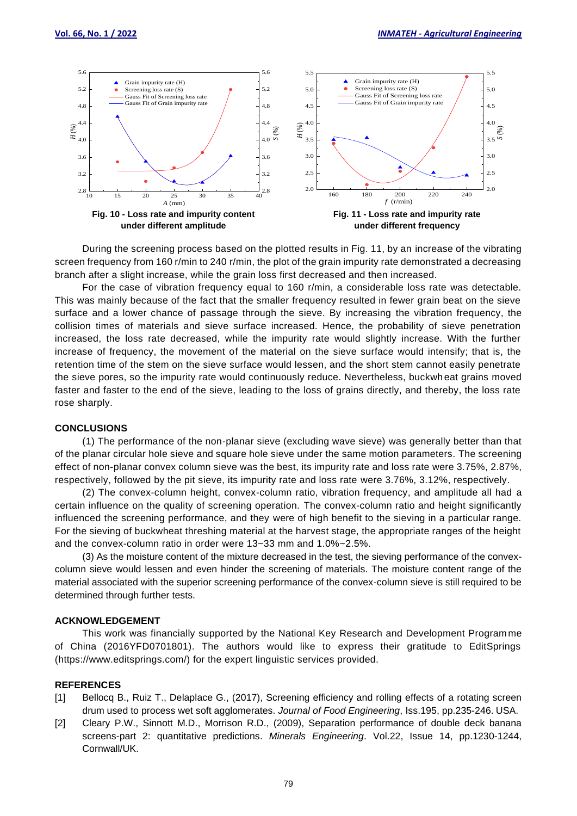

During the screening process based on the plotted results in Fig. 11, by an increase of the vibrating screen frequency from 160 r/min to 240 r/min, the plot of the grain impurity rate demonstrated a decreasing branch after a slight increase, while the grain loss first decreased and then increased.

For the case of vibration frequency equal to 160 r/min, a considerable loss rate was detectable. This was mainly because of the fact that the smaller frequency resulted in fewer grain beat on the sieve surface and a lower chance of passage through the sieve. By increasing the vibration frequency, the collision times of materials and sieve surface increased. Hence, the probability of sieve penetration increased, the loss rate decreased, while the impurity rate would slightly increase. With the further increase of frequency, the movement of the material on the sieve surface would intensify; that is, the retention time of the stem on the sieve surface would lessen, and the short stem cannot easily penetrate the sieve pores, so the impurity rate would continuously reduce. Nevertheless, buckwheat grains moved faster and faster to the end of the sieve, leading to the loss of grains directly, and thereby, the loss rate rose sharply.

#### **CONCLUSIONS**

(1) The performance of the non-planar sieve (excluding wave sieve) was generally better than that of the planar circular hole sieve and square hole sieve under the same motion parameters. The screening effect of non-planar convex column sieve was the best, its impurity rate and loss rate were 3.75%, 2.87%, respectively, followed by the pit sieve, its impurity rate and loss rate were 3.76%, 3.12%, respectively.

(2) The convex-column height, convex-column ratio, vibration frequency, and amplitude all had a certain influence on the quality of screening operation. The convex-column ratio and height significantly influenced the screening performance, and they were of high benefit to the sieving in a particular range. For the sieving of buckwheat threshing material at the harvest stage, the appropriate ranges of the height and the convex-column ratio in order were 13~33 mm and 1.0%~2.5%.

(3) As the moisture content of the mixture decreased in the test, the sieving performance of the convexcolumn sieve would lessen and even hinder the screening of materials. The moisture content range of the material associated with the superior screening performance of the convex-column sieve is still required to be determined through further tests.

# **ACKNOWLEDGEMENT**

This work was financially supported by the National Key Research and Development Programme of China (2016YFD0701801). The authors would like to express their gratitude to EditSprings (https://www.editsprings.com/) for the expert linguistic services provided.

### **REFERENCES**

- [1] Bellocq B., Ruiz T., Delaplace G., (2017), Screening efficiency and rolling effects of a rotating screen drum used to process wet soft agglomerates. *Journal of Food Engineering*, Iss.195, pp.235-246. USA.
- [2] Cleary P.W., Sinnott M.D., Morrison R.D., (2009), Separation performance of double deck banana screens-part 2: quantitative predictions. *Minerals Engineering*. Vol.22, Issue 14, pp.1230-1244, Cornwall/UK.